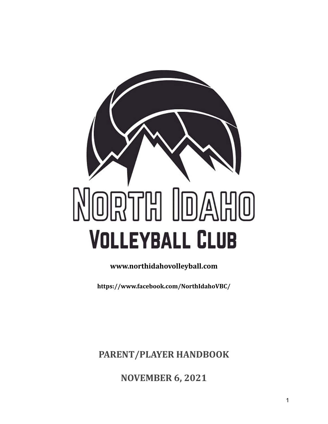

**www.northidahovolleyball.com**

**https://www.facebook.com/NorthIdahoVBC/**

**PARENT/PLAYER HANDBOOK**

**NOVEMBER 6, 2021**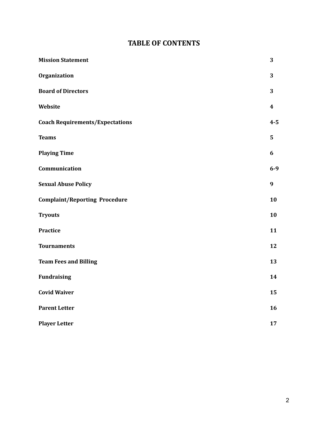# **TABLE OF CONTENTS**

| <b>Mission Statement</b>               | 3                |
|----------------------------------------|------------------|
| Organization                           | 3                |
| <b>Board of Directors</b>              | 3                |
| Website                                | $\boldsymbol{4}$ |
| <b>Coach Requirements/Expectations</b> | $4 - 5$          |
| <b>Teams</b>                           | 5                |
| <b>Playing Time</b>                    | 6                |
| Communication                          | $6-9$            |
| <b>Sexual Abuse Policy</b>             | 9                |
| <b>Complaint/Reporting Procedure</b>   | 10               |
| <b>Tryouts</b>                         | 10               |
| <b>Practice</b>                        | 11               |
| <b>Tournaments</b>                     | 12               |
| <b>Team Fees and Billing</b>           | 13               |
| <b>Fundraising</b>                     | 14               |
| <b>Covid Waiver</b>                    | 15               |
| <b>Parent Letter</b>                   | 16               |
| <b>Player Letter</b>                   | 17               |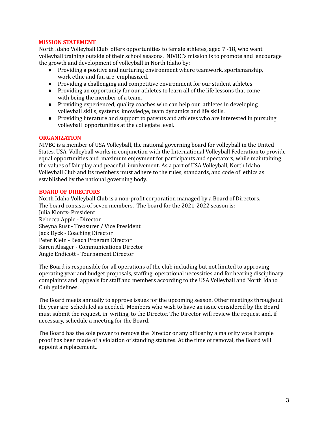#### **MISSION STATEMENT**

North Idaho Volleyball Club offers opportunities to female athletes, aged 7 -18, who want volleyball training outside of their school seasons. NIVBC's mission is to promote and encourage the growth and development of volleyball in North Idaho by:

- Providing a positive and nurturing environment where teamwork, sportsmanship, work ethic and fun are emphasized.
- Providing a challenging and competitive environment for our student athletes
- Providing an opportunity for our athletes to learn all of the life lessons that come with being the member of a team,
- Providing experienced, quality coaches who can help our athletes in developing volleyball skills, systems knowledge, team dynamics and life skills.
- Providing literature and support to parents and athletes who are interested in pursuing volleyball opportunities at the collegiate level.

#### **ORGANIZATION**

NIVBC is a member of USA Volleyball, the national governing board for volleyball in the United States. USA Volleyball works in conjunction with the International Volleyball Federation to provide equal opportunities and maximum enjoyment for participants and spectators, while maintaining the values of fair play and peaceful involvement. As a part of USA Volleyball, North Idaho Volleyball Club and its members must adhere to the rules, standards, and code of ethics as established by the national governing body.

#### **BOARD OF DIRECTORS**

North Idaho Volleyball Club is a non-profit corporation managed by a Board of Directors. The board consists of seven members. The board for the 2021-2022 season is: Julia Klontz- President Rebecca Apple - Director Sheyna Rust - Treasurer / Vice President Jack Dyck - Coaching Director Peter Klein - Beach Program Director Karen Alsager - Communications Director Angie Endicott - Tournament Director

The Board is responsible for all operations of the club including but not limited to approving operating year and budget proposals, staffing, operational necessities and for hearing disciplinary complaints and appeals for staff and members according to the USA Volleyball and North Idaho Club guidelines.

The Board meets annually to approve issues for the upcoming season. Other meetings throughout the year are scheduled as needed. Members who wish to have an issue considered by the Board must submit the request, in writing, to the Director. The Director will review the request and, if necessary, schedule a meeting for the Board.

The Board has the sole power to remove the Director or any officer by a majority vote if ample proof has been made of a violation of standing statutes. At the time of removal, the Board will appoint a replacement..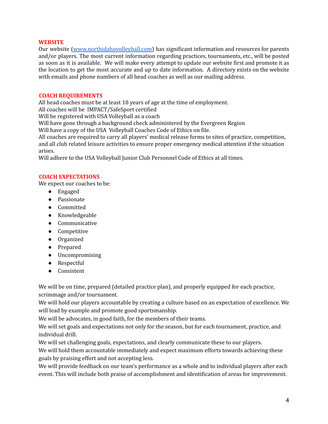#### **WEBSITE**

Our website ([www.northidahovolleyball.com\)](http://www.northidahovolleyball.com) has significant information and resources for parents and/or players. The most current information regarding practices, tournaments, etc., will be posted as soon as it is available. We will make every attempt to update our website first and promote it as the location to get the most accurate and up to date information. A directory exists on the website with emails and phone numbers of all head coaches as well as our mailing address.

#### **COACH REQUIREMENTS**

All head coaches must be at least 18 years of age at the time of employment.

All coaches will be IMPACT/SafeSport certified

Will be registered with USA Volleyball as a coach

Will have gone through a background check administered by the Evergreen Region

Will have a copy of the USA Volleyball Coaches Code of Ethics on file.

All coaches are required to carry all players' medical release forms to sites of practice, competition, and all club related leisure activities to ensure proper emergency medical attention if the situation arises.

Will adhere to the USA Volleyball Junior Club Personnel Code of Ethics at all times.

#### **COACH EXPECTATIONS**

We expect our coaches to be:

- Engaged
- Passionate
- Committed
- Knowledgeable
- Communicative
- Competitive
- Organized
- Prepared
- Uncompromising
- Respectful
- Consistent

We will be on time, prepared (detailed practice plan), and properly equipped for each practice, scrimmage and/or tournament.

We will hold our players accountable by creating a culture based on an expectation of excellence. We will lead by example and promote good sportsmanship.

We will be advocates, in good faith, for the members of their teams.

We will set goals and expectations not only for the season, but for each tournament, practice, and individual drill.

We will set challenging goals, expectations, and clearly communicate these to our players.

We will hold them accountable immediately and expect maximum efforts towards achieving these goals by praising effort and not accepting less.

We will provide feedback on our team's performance as a whole and to individual players after each event. This will include both praise of accomplishment and identification of areas for improvement.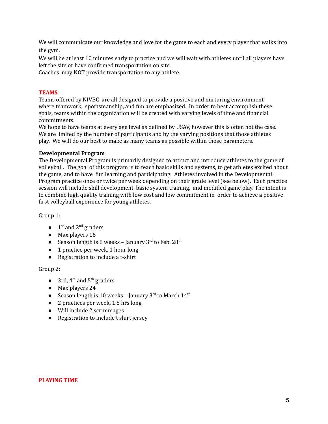We will communicate our knowledge and love for the game to each and every player that walks into the gym.

We will be at least 10 minutes early to practice and we will wait with athletes until all players have left the site or have confirmed transportation on site.

Coaches may NOT provide transportation to any athlete.

# **TEAMS**

Teams offered by NIVBC are all designed to provide a positive and nurturing environment where teamwork, sportsmanship, and fun are emphasized. In order to best accomplish these goals, teams within the organization will be created with varying levels of time and financial commitments.

We hope to have teams at every age level as defined by USAV, however this is often not the case. We are limited by the number of participants and by the varying positions that those athletes play. We will do our best to make as many teams as possible within those parameters.

# **Developmental Program**

The Developmental Program is primarily designed to attract and introduce athletes to the game of volleyball. The goal of this program is to teach basic skills and systems, to get athletes excited about the game, and to have fun learning and participating. Athletes involved in the Developmental Program practice once or twice per week depending on their grade level (see below). Each practice session will include skill development, basic system training, and modified game play. The intent is to combine high quality training with low cost and low commitment in order to achieve a positive first volleyball experience for young athletes.

Group 1:

- $\bullet$  1<sup>st</sup> and 2<sup>nd</sup> graders
- Max players 16
- Season length is 8 weeks January  $3<sup>rd</sup>$  to Feb.  $28<sup>th</sup>$
- 1 practice per week, 1 hour long
- Registration to include a t-shirt

#### Group 2:

- 3rd,  $4^{\text{th}}$  and  $5^{\text{th}}$  graders
- Max players 24
- Season length is 10 weeks January 3<sup>rd</sup> to March  $14<sup>th</sup>$
- 2 practices per week, 1.5 hrs long
- Will include 2 scrimmages
- Registration to include t shirt jersey

#### **PLAYING TIME**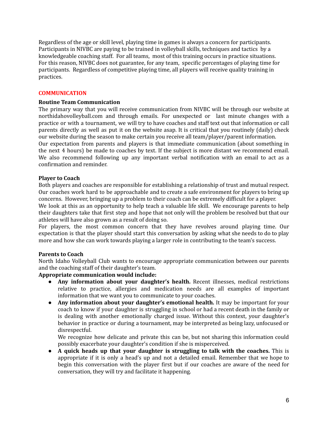Regardless of the age or skill level, playing time in games is always a concern for participants. Participants in NIVBC are paying to be trained in volleyball skills, techniques and tactics by a knowledgeable coaching staff. For all teams, most of this training occurs in practice situations. For this reason, NIVBC does not guarantee, for any team, specific percentages of playing time for participants. Regardless of competitive playing time, all players will receive quality training in practices.

#### **COMMUNICATION**

#### **Routine Team Communication**

The primary way that you will receive communication from NIVBC will be through our website at northidahovolleyball.com and through emails. For unexpected or last minute changes with a practice or with a tournament, we will try to have coaches and staff text out that information or call parents directly as well as put it on the website asap. It is critical that you routinely (daily) check our website during the season to make certain you receive all team/player/parent information. Our expectation from parents and players is that immediate communication (about something in the next 4 hours) be made to coaches by text. If the subject is more distant we recommend email. We also recommend following up any important verbal notification with an email to act as a confirmation and reminder.

#### **Player to Coach**

Both players and coaches are responsible for establishing a relationship of trust and mutual respect. Our coaches work hard to be approachable and to create a safe environment for players to bring up concerns. However, bringing up a problem to their coach can be extremely difficult for a player.

We look at this as an opportunity to help teach a valuable life skill. We encourage parents to help their daughters take that first step and hope that not only will the problem be resolved but that our athletes will have also grown as a result of doing so.

For players, the most common concern that they have revolves around playing time. Our expectation is that the player should start this conversation by asking what she needs to do to play more and how she can work towards playing a larger role in contributing to the team's success.

#### **Parents to Coach**

North Idaho Volleyball Club wants to encourage appropriate communication between our parents and the coaching staff of their daughter's team.

**Appropriate communication would include:**

- **Any information about your daughter's health.** Recent illnesses, medical restrictions relative to practice, allergies and medication needs are all examples of important information that we want you to communicate to your coaches.
- **Any information about your daughter's emotional health.** It may be important for your coach to know if your daughter is struggling in school or had a recent death in the family or is dealing with another emotionally charged issue. Without this context, your daughter's behavior in practice or during a tournament, may be interpreted as being lazy, unfocused or disrespectful.

We recognize how delicate and private this can be, but not sharing this information could possibly exacerbate your daughter's condition if she is misperceived.

● **A quick heads up that your daughter is struggling to talk with the coaches.** This is appropriate if it is only a head's up and not a detailed email. Remember that we hope to begin this conversation with the player first but if our coaches are aware of the need for conversation, they will try and facilitate it happening.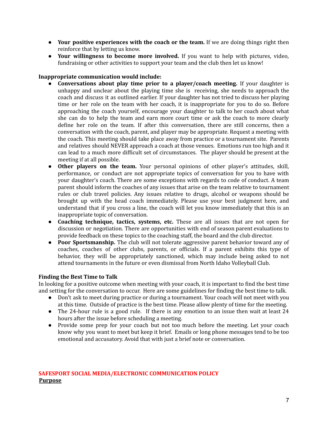- **Your positive experiences with the coach or the team.** If we are doing things right then reinforce that by letting us know.
- **Your willingness to become more involved.** If you want to help with pictures, video, fundraising or other activities to support your team and the club then let us know!

### **Inappropriate communication would include:**

- **Conversations about play time prior to a player/coach meeting.** If your daughter is unhappy and unclear about the playing time she is receiving, she needs to approach the coach and discuss it as outlined earlier. If your daughter has not tried to discuss her playing time or her role on the team with her coach, it is inappropriate for you to do so. Before approaching the coach yourself, encourage your daughter to talk to her coach about what she can do to help the team and earn more court time or ask the coach to more clearly define her role on the team. If after this conversation, there are still concerns, then a conversation with the coach, parent, and player may be appropriate. Request a meeting with the coach. This meeting should take place away from practice or a tournament site. Parents and relatives should NEVER approach a coach at those venues. Emotions run too high and it can lead to a much more difficult set of circumstances. The player should be present at the meeting if at all possible.
- **Other players on the team.** Your personal opinions of other player's attitudes, skill, performance, or conduct are not appropriate topics of conversation for you to have with your daughter's coach. There are some exceptions with regards to code of conduct. A team parent should inform the coaches of any issues that arise on the team relative to tournament rules or club travel policies. Any issues relative to drugs, alcohol or weapons should be brought up with the head coach immediately. Please use your best judgment here, and understand that if you cross a line, the coach will let you know immediately that this is an inappropriate topic of conversation.
- **● Coaching technique, tactics, systems, etc.** These are all issues that are not open for discussion or negotiation. There are opportunities with end of season parent evaluations to provide feedback on these topics to the coaching staff, the board and the club director.
- **● Poor Sportsmanship.** The club will not tolerate aggressive parent behavior toward any of coaches, coaches of other clubs, parents, or officials. If a parent exhibits this type of behavior, they will be appropriately sanctioned, which may include being asked to not attend tournaments in the future or even dismissal from North Idaho Volleyball Club.

#### **Finding the Best Time to Talk**

In looking for a positive outcome when meeting with your coach, it is important to find the best time and setting for the conversation to occur. Here are some guidelines for finding the best time to talk.

- Don't ask to meet during practice or during a tournament. Your coach will not meet with you at this time. Outside of practice is the best time. Please allow plenty of time for the meeting.
- The 24-hour rule is a good rule. If there is any emotion to an issue then wait at least 24 hours after the issue before scheduling a meeting.
- Provide some prep for your coach but not too much before the meeting. Let your coach know why you want to meet but keep it brief. Emails or long phone messages tend to be too emotional and accusatory. Avoid that with just a brief note or conversation.

# **SAFESPORT SOCIAL MEDIA/ELECTRONIC COMMUNICATION POLICY Purpose**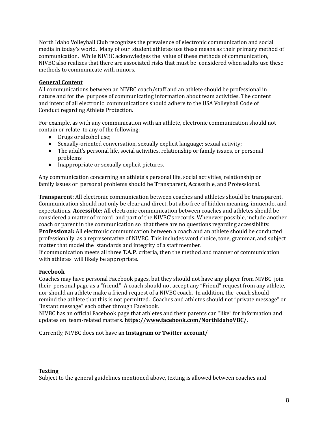North Idaho Volleyball Club recognizes the prevalence of electronic communication and social media in today's world. Many of our student athletes use these means as their primary method of communication. While NIVBC acknowledges the value of these methods of communication, NIVBC also realizes that there are associated risks that must be considered when adults use these methods to communicate with minors.

# **General Content**

All communications between an NIVBC coach/staff and an athlete should be professional in nature and for the purpose of communicating information about team activities. The content and intent of all electronic communications should adhere to the USA Volleyball Code of Conduct regarding Athlete Protection.

For example, as with any communication with an athlete, electronic communication should not contain or relate to any of the following:

- Drugs or alcohol use:
- Sexually-oriented conversation, sexually explicit language; sexual activity;
- The adult's personal life, social activities, relationship or family issues, or personal problems
- Inappropriate or sexually explicit pictures.

Any communication concerning an athlete's personal life, social activities, relationship or family issues or personal problems should be **T**ransparent, **A**ccessible, and **P**rofessional.

**Transparent:** All electronic communication between coaches and athletes should be transparent. Communication should not only be clear and direct, but also free of hidden meaning, innuendo, and expectations. **Accessible:** All electronic communication between coaches and athletes should be considered a matter of record and part of the NIVBC's records. Whenever possible, include another coach or parent in the communication so that there are no questions regarding accessibility. **Professional:** All electronic communication between a coach and an athlete should be conducted professionally as a representative of NIVBC. This includes word choice, tone, grammar, and subject matter that model the standards and integrity of a staff member.

If communication meets all three **T.A.P**. criteria, then the method and manner of communication with athletes will likely be appropriate.

# **Facebook**

Coaches may have personal Facebook pages, but they should not have any player from NIVBC join their personal page as a "friend." A coach should not accept any "Friend" request from any athlete, nor should an athlete make a friend request of a NIVBC coach. In addition, the coach should remind the athlete that this is not permitted. Coaches and athletes should not "private message" or "instant message" each other through Facebook.

NIVBC has an official Facebook page that athletes and their parents can "like" for information and updates on team-related matters. **https://www.facebook.com/NorthIdahoVBC/.**

Currently, NIVBC does not have an **Instagram or Twitter account/**

# **Texting** Subject to the general guidelines mentioned above, texting is allowed between coaches and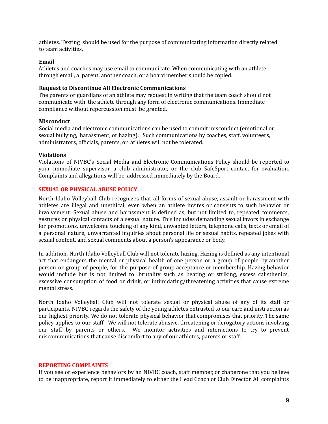athletes. Texting should be used for the purpose of communicating information directly related to team activities.

#### **Email**

Athletes and coaches may use email to communicate. When communicating with an athlete through email, a parent, another coach, or a board member should be copied.

#### **Request to Discontinue All Electronic Communications**

The parents or guardians of an athlete may request in writing that the team coach should not communicate with the athlete through any form of electronic communications. Immediate compliance without repercussion must be granted.

#### **Misconduct**

Social media and electronic communications can be used to commit misconduct (emotional or sexual bullying, harassment, or hazing). Such communications by coaches, staff, volunteers, administrators, officials, parents, or athletes will not be tolerated.

#### **Violations**

Violations of NIVBC's Social Media and Electronic Communications Policy should be reported to your immediate supervisor, a club administrator, or the club SafeSport contact for evaluation. Complaints and allegations will be addressed immediately by the Board.

#### **SEXUAL OR PHYSICAL ABUSE POLICY**

North Idaho Volleyball Club recognizes that all forms of sexual abuse, assault or harassment with athletes are illegal and unethical, even when an athlete invites or consents to such behavior or involvement. Sexual abuse and harassment is defined as, but not limited to, repeated comments, gestures or physical contacts of a sexual nature. This includes demanding sexual favors in exchange for promotions, unwelcome touching of any kind, unwanted letters, telephone calls, texts or email of a personal nature, unwarranted inquiries about personal life or sexual habits, repeated jokes with sexual content, and sexual comments about a person's appearance or body.

In addition, North Idaho Volleyball Club will not tolerate hazing. Hazing is defined as any intentional act that endangers the mental or physical health of one person or a group of people, by another person or group of people, for the purpose of group acceptance or membership. Hazing behavior would include but is not limited to: brutality such as beating or striking, excess calisthenics, excessive consumption of food or drink, or intimidating/threatening activities that cause extreme mental stress.

North Idaho Volleyball Club will not tolerate sexual or physical abuse of any of its staff or participants. NIVBC regards the safety of the young athletes entrusted to our care and instruction as our highest priority. We do not tolerate physical behavior that compromises that priority. The same policy applies to our staff. We will not tolerate abusive, threatening or derogatory actions involving our staff by parents or others. We monitor activities and interactions to try to prevent miscommunications that cause discomfort to any of our athletes, parents or staff.

#### **REPORTING COMPLAINTS**

If you see or experience behaviors by an NIVBC coach, staff member, or chaperone that you believe to be inappropriate, report it immediately to either the Head Coach or Club Director. All complaints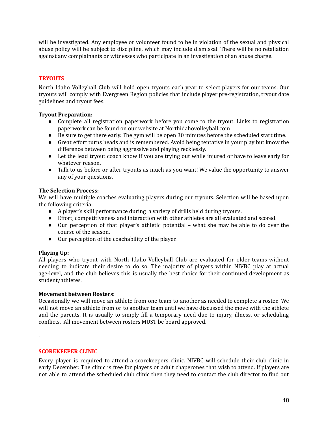will be investigated. Any employee or volunteer found to be in violation of the sexual and physical abuse policy will be subject to discipline, which may include dismissal. There will be no retaliation against any complainants or witnesses who participate in an investigation of an abuse charge.

# **TRYOUTS**

North Idaho Volleyball Club will hold open tryouts each year to select players for our teams. Our tryouts will comply with Evergreen Region policies that include player pre-registration, tryout date guidelines and tryout fees.

#### **Tryout Preparation:**

- Complete all registration paperwork before you come to the tryout. Links to registration paperwork can be found on our website at Northidahovolleyball.com
- Be sure to get there early. The gym will be open 30 minutes before the scheduled start time.
- Great effort turns heads and is remembered. Avoid being tentative in your play but know the difference between being aggressive and playing recklessly.
- Let the lead tryout coach know if you are trying out while injured or have to leave early for whatever reason.
- Talk to us before or after tryouts as much as you want! We value the opportunity to answer any of your questions.

#### **The Selection Process:**

We will have multiple coaches evaluating players during our tryouts. Selection will be based upon the following criteria:

- A player's skill performance during a variety of drills held during tryouts.
- Effort, competitiveness and interaction with other athletes are all evaluated and scored.
- Our perception of that player's athletic potential what she may be able to do over the course of the season.
- Our perception of the coachability of the player.

# **Playing Up:**

All players who tryout with North Idaho Volleyball Club are evaluated for older teams without needing to indicate their desire to do so. The majority of players within NIVBC play at actual age-level, and the club believes this is usually the best choice for their continued development as student/athletes.

#### **Movement between Rosters:**

Occasionally we will move an athlete from one team to another as needed to complete a roster. We will not move an athlete from or to another team until we have discussed the move with the athlete and the parents. It is usually to simply fill a temporary need due to injury, illness, or scheduling conflicts. All movement between rosters MUST be board approved.

**SCOREKEEPER CLINIC**

.

Every player is required to attend a scorekeepers clinic. NIVBC will schedule their club clinic in early December. The clinic is free for players or adult chaperones that wish to attend. If players are not able to attend the scheduled club clinic then they need to contact the club director to find out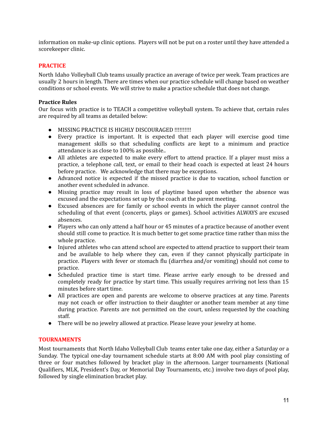information on make-up clinic options. Players will not be put on a roster until they have attended a scorekeeper clinic.

#### **PRACTICE**

North Idaho Volleyball Club teams usually practice an average of twice per week. Team practices are usually 2 hours in length. There are times when our practice schedule will change based on weather conditions or school events. We will strive to make a practice schedule that does not change.

#### **Practice Rules**

Our focus with practice is to TEACH a competitive volleyball system. To achieve that, certain rules are required by all teams as detailed below:

- MISSING PRACTICE IS HIGHLY DISCOURAGED !!!!!!!!!!
- Every practice is important. It is expected that each player will exercise good time management skills so that scheduling conflicts are kept to a minimum and practice attendance is as close to 100% as possible..
- All athletes are expected to make every effort to attend practice. If a player must miss a practice, a telephone call, text, or email to their head coach is expected at least 24 hours before practice. We acknowledge that there may be exceptions.
- Advanced notice is expected if the missed practice is due to vacation, school function or another event scheduled in advance.
- Missing practice may result in loss of playtime based upon whether the absence was excused and the expectations set up by the coach at the parent meeting.
- Excused absences are for family or school events in which the player cannot control the scheduling of that event (concerts, plays or games). School activities ALWAYS are excused absences.
- Players who can only attend a half hour or 45 minutes of a practice because of another event should still come to practice. It is much better to get some practice time rather than miss the whole practice.
- Injured athletes who can attend school are expected to attend practice to support their team and be available to help where they can, even if they cannot physically participate in practice. Players with fever or stomach flu (diarrhea and/or vomiting) should not come to practice.
- Scheduled practice time is start time. Please arrive early enough to be dressed and completely ready for practice by start time. This usually requires arriving not less than 15 minutes before start time.
- All practices are open and parents are welcome to observe practices at any time. Parents may not coach or offer instruction to their daughter or another team member at any time during practice. Parents are not permitted on the court, unless requested by the coaching staff.
- There will be no jewelry allowed at practice. Please leave your jewelry at home.

# **TOURNAMENTS**

Most tournaments that North Idaho Volleyball Club teams enter take one day, either a Saturday or a Sunday. The typical one-day tournament schedule starts at 8:00 AM with pool play consisting of three or four matches followed by bracket play in the afternoon. Larger tournaments (National Qualifiers, MLK, President's Day, or Memorial Day Tournaments, etc.) involve two days of pool play, followed by single elimination bracket play.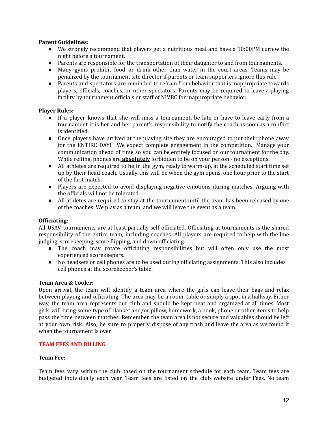### **Parent Guidelines:**

- We strongly recommend that players get a nutritious meal and have a 10:00PM curfew the night before a tournament.
- Parents are responsible for the transportation of their daughter to and from tournaments.
- Many gyms prohibit food or drink other than water in the court areas. Teams may be penalized by the tournament site director if parents or team supporters ignore this rule.
- Parents and spectators are reminded to refrain from behavior that is inappropriate towards players, officials, coaches, or other spectators. Parents may be required to leave a playing facility by tournament officials or staff of NIVBC for inappropriate behavior.

#### **Player Rules:**

- If a player knows that she will miss a tournament, be late or have to leave early from a tournament it is her and her parent's responsibility to notify the coach as soon as a conflict is identified.
- Once players have arrived at the playing site they are encouraged to put their phone away for the ENTIRE DAY!. We expect complete engagement in the competition. Manage your communication ahead of time so you can be entirely focused on our tournament for the day. While reffing, phones are **absolutely** forbidden to be on your person - no exceptions.
- All athletes are required to be in the gym, ready to warm-up, at the scheduled start time set up by their head coach. Usually this will be when the gym opens, one hour prior to the start of the first match.
- Players are expected to avoid displaying negative emotions during matches. Arguing with the officials will not be tolerated.
- All athletes are required to stay at the tournament until the team has been released by one of the coaches. We play as a team, and we will leave the event as a team.

# **Officiating:**

All USAV tournaments are at least partially self-officiated. Officiating at tournaments is the shared responsibility of the entire team, including coaches. All players are required to help with the line judging, scorekeeping, score flipping, and down officiating.

- **●** The coach may rotate officiating responsibilities but will often only use the most experienced scorekeepers.
- No headsets or cell phones are to be used during officiating assignments. This also includes cell phones at the scorekeeper's table.

#### **Team Area & Cooler:**

Upon arrival, the team will identify a team area where the girls can leave their bags and relax between playing and officiating. The area may be a room, table or simply a spot in a hallway. Either way, the team area represents our club and should be kept neat and organized at all times. Most girls will bring some type of blanket and/or pillow, homework, a book, phone or other items to help pass the time between matches. Remember, the team area is not secure and valuables should be left at your own risk. Also, be sure to properly dispose of any trash and leave the area as we found it when the tournament is over.

### **TEAM FEES AND BILLING**

#### **Team Fee:**

Team fees vary within the club based on the tournament schedule for each team. Team fees are budgeted individually each year. Team fees are listed on the club website under Fees. No team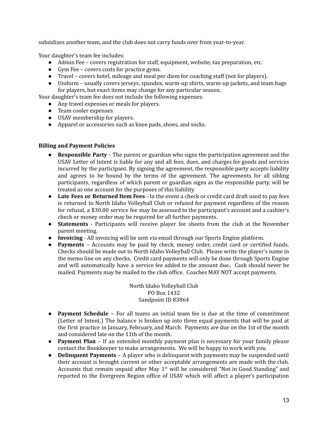subsidizes another team, and the club does not carry funds over from year-to-year.

Your daughter's team fee includes:

- Admin Fee covers registration for staff, equipment, website, tax preparation, etc.
- Gym Fee covers costs for practice gyms.
- Travel covers hotel, mileage and meal per diem for coaching staff (not for players).
- Uniform usually covers jerseys, spandex, warm-up shirts, warm-up jackets, and team bags for players, but exact items may change for any particular season.

Your daughter's team fee does not include the following expenses:

- Any travel expenses or meals for players.
- Team cooler expenses
- USAV membership for players.
- Apparel or accessories such as knee pads, shoes, and socks.

#### **Billing and Payment Policies**

- **Responsible Party** The parent or guardian who signs the participation agreement and the USAV Letter of Intent is liable for any and all fees, dues, and charges for goods and services incurred by the participant. By signing the agreement, the responsible party accepts liability and agrees to be bound by the terms of the agreement. The agreements for all sibling participants, regardless of which parent or guardian signs as the responsible party, will be treated as one account for the purposes of this liability.
- **Late Fees or Returned Item Fees** In the event a check or credit card draft used to pay fees is returned to North Idaho Volleyball Club or refused for payment regardless of the reason for refusal, a \$30.00 service fee may be assessed to the participant's account and a cashier's check or money order may be required for all further payments.
- **Statements** Participants will receive player fee sheets from the club at the November parent meeting.
- **Invoicing** All invoicing will be sent via email through our Sports Engine platform.
- **Payments** Accounts may be paid by check, money order, credit card or certified funds. Checks should be made out to North Idaho Volleyball Club. Please write the player's name in the memo line on any checks. Credit card payments will only be done through Sports Engine and will automatically have a service fee added to the amount due.. Cash should never be mailed. Payments may be mailed to the club office. Coaches MAY NOT accept payments.

North Idaho Volleyball Club PO Box 1432 Sandpoint ID 83864

- **Payment Schedule** For all teams an initial team fee is due at the time of commitment (Letter of Intent.) The balance is broken up into three equal payments that will be paid at the first practice in January, February, and March. Payments are due on the 1st of the month and considered late on the 11th of the month.
- **Payment Plan** If an extended monthly payment plan is necessary for your family please contact the Bookkeeper to make arrangements. We will be happy to work with you.
- **Delinquent Payments** A player who is delinquent with payments may be suspended until their account is brought current or other acceptable arrangements are made with the club. Accounts that remain unpaid after May  $1<sup>st</sup>$  will be considered "Not in Good Standing" and reported to the Evergreen Region office of USAV which will affect a player's participation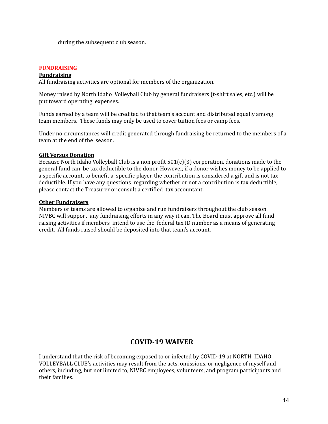during the subsequent club season.

# **FUNDRAISING**

#### **Fundraising**

All fundraising activities are optional for members of the organization.

Money raised by North Idaho Volleyball Club by general fundraisers (t-shirt sales, etc.) will be put toward operating expenses.

Funds earned by a team will be credited to that team's account and distributed equally among team members. These funds may only be used to cover tuition fees or camp fees.

Under no circumstances will credit generated through fundraising be returned to the members of a team at the end of the season.

#### **Gift Versus Donation**

Because North Idaho Volleyball Club is a non profit 501(c)(3) corporation, donations made to the general fund can be tax deductible to the donor. However, if a donor wishes money to be applied to a specific account, to benefit a specific player, the contribution is considered a gift and is not tax deductible. If you have any questions regarding whether or not a contribution is tax deductible, please contact the Treasurer or consult a certified tax accountant.

# **Other Fundraisers**

Members or teams are allowed to organize and run fundraisers throughout the club season. NIVBC will support any fundraising efforts in any way it can. The Board must approve all fund raising activities if members intend to use the federal tax ID number as a means of generating credit. All funds raised should be deposited into that team's account.

# **COVID-19 WAIVER**

I understand that the risk of becoming exposed to or infected by COVID-19 at NORTH IDAHO VOLLEYBALL CLUB's activities may result from the acts, omissions, or negligence of myself and others, including, but not limited to, NIVBC employees, volunteers, and program participants and their families.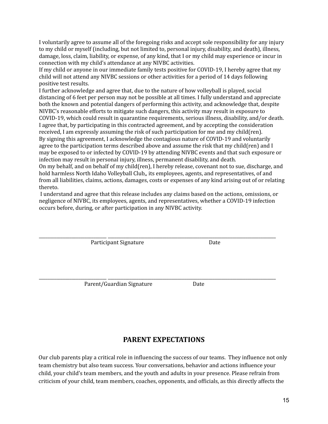I voluntarily agree to assume all of the foregoing risks and accept sole responsibility for any injury to my child or myself (including, but not limited to, personal injury, disability, and death), illness, damage, loss, claim, liability, or expense, of any kind, that I or my child may experience or incur in connection with my child's attendance at any NIVBC activities.

If my child or anyone in our immediate family tests positive for COVID-19, I hereby agree that my child will not attend any NIVBC sessions or other activities for a period of 14 days following positive test results.

I further acknowledge and agree that, due to the nature of how volleyball is played, social distancing of 6 feet per person may not be possible at all times. I fully understand and appreciate both the known and potential dangers of performing this activity, and acknowledge that, despite NIVBC's reasonable efforts to mitigate such dangers, this activity may result in exposure to COVID-19, which could result in quarantine requirements, serious illness, disability, and/or death. I agree that, by participating in this contracted agreement, and by accepting the consideration received, I am expressly assuming the risk of such participation for me and my child(ren). By signing this agreement, I acknowledge the contagious nature of COVID-19 and voluntarily agree to the participation terms described above and assume the risk that my child(ren) and I may be exposed to or infected by COVID-19 by attending NIVBC events and that such exposure or infection may result in personal injury, illness, permanent disability, and death.

On my behalf, and on behalf of my child(ren), I hereby release, covenant not to sue, discharge, and hold harmless North Idaho Volleyball Club,, its employees, agents, and representatives, of and from all liabilities, claims, actions, damages, costs or expenses of any kind arising out of or relating thereto.

I understand and agree that this release includes any claims based on the actions, omissions, or negligence of NIVBC, its employees, agents, and representatives, whether a COVID-19 infection occurs before, during, or after participation in any NIVBC activity.

\_\_\_\_\_\_\_\_\_\_\_\_\_\_\_\_\_\_\_\_\_\_\_\_\_\_\_\_\_\_\_ \_\_\_\_\_\_\_\_\_\_\_\_\_\_\_\_\_\_\_\_\_\_\_\_\_\_\_\_\_\_\_\_\_\_\_\_\_\_\_\_\_\_\_\_\_\_\_\_\_\_\_\_\_\_\_\_\_\_\_\_\_\_\_\_\_\_\_\_\_\_\_\_\_\_\_\_\_

\_\_\_\_\_\_\_\_\_\_\_\_\_\_\_\_\_\_\_\_\_\_\_\_\_\_\_\_\_\_\_ \_\_\_\_\_\_\_\_\_\_\_\_\_\_\_\_\_\_\_\_\_\_\_\_\_\_\_\_\_\_\_\_\_\_\_\_\_\_\_\_\_\_\_\_\_\_\_\_\_\_\_\_\_\_\_\_\_\_\_\_\_\_\_\_\_\_\_\_\_\_\_\_\_\_\_\_\_

Participant Signature **Date** 

Parent/Guardian Signature Date

# **PARENT EXPECTATIONS**

Our club parents play a critical role in influencing the success of our teams. They influence not only team chemistry but also team success. Your conversations, behavior and actions influence your child, your child's team members, and the youth and adults in your presence. Please refrain from criticism of your child, team members, coaches, opponents, and officials, as this directly affects the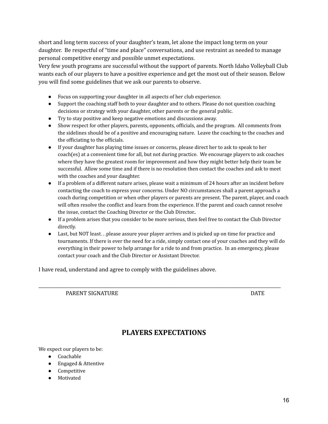short and long term success of your daughter's team, let alone the impact long term on your daughter. Be respectful of "time and place" conversations, and use restraint as needed to manage personal competitive energy and possible unmet expectations.

Very few youth programs are successful without the support of parents. North Idaho Volleyball Club wants each of our players to have a positive experience and get the most out of their season. Below you will find some guidelines that we ask our parents to observe.

- Focus on supporting your daughter in all aspects of her club experience.
- Support the coaching staff both to your daughter and to others. Please do not question coaching decisions or strategy with your daughter, other parents or the general public.
- Try to stay positive and keep negative emotions and discussions away.
- Show respect for other players, parents, opponents, officials, and the program. All comments from the sidelines should be of a positive and encouraging nature. Leave the coaching to the coaches and the officiating to the officials.
- If your daughter has playing time issues or concerns, please direct her to ask to speak to her coach(es) at a convenient time for all, but not during practice. We encourage players to ask coaches where they have the greatest room for improvement and how they might better help their team be successful. Allow some time and if there is no resolution then contact the coaches and ask to meet with the coaches and your daughter.
- If a problem of a different nature arises, please wait a minimum of 24 hours after an incident before contacting the coach to express your concerns. Under NO circumstances shall a parent approach a coach during competition or when other players or parents are present. The parent, player, and coach will often resolve the conflict and learn from the experience. If the parent and coach cannot resolve the issue, contact the Coaching Director or the Club Director..
- If a problem arises that you consider to be more serious, then feel free to contact the Club Director directly.
- Last, but NOT least…please assure your player arrives and is picked up on time for practice and tournaments. If there is ever the need for a ride, simply contact one of your coaches and they will do everything in their power to help arrange for a ride to and from practice. In an emergency, please contact your coach and the Club Director or Assistant Director.

I have read, understand and agree to comply with the guidelines above.

PARENT SIGNATURE **DATE** 

# **PLAYERS EXPECTATIONS**

\_\_\_\_\_\_\_\_\_\_\_\_\_\_\_\_\_\_\_\_\_\_\_\_\_\_\_\_\_\_\_\_\_\_\_\_\_\_\_\_\_\_\_\_\_\_\_\_\_\_\_\_\_\_\_\_\_\_\_\_\_\_\_\_\_\_\_\_\_\_\_\_\_\_\_\_\_\_\_\_\_\_\_\_\_\_\_\_\_\_\_\_\_\_\_\_\_\_\_\_\_\_\_\_\_\_\_\_\_\_\_

We expect our players to be:

- Coachable
- Engaged & Attentive
- Competitive
- Motivated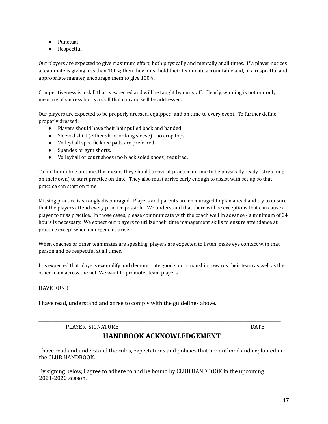- Punctual
- Respectful

Our players are expected to give maximum effort, both physically and mentally at all times. If a player notices a teammate is giving less than 100% then they must hold their teammate accountable and, in a respectful and appropriate manner, encourage them to give 100%.

Competitiveness is a skill that is expected and will be taught by our staff. Clearly, winning is not our only measure of success but is a skill that can and will be addressed.

Our players are expected to be properly dressed, equipped, and on time to every event. To further define properly dressed:

- Players should have their hair pulled back and banded.
- Sleeved shirt (either short or long sleeve) no crop tops.
- Volleyball specific knee pads are preferred.
- Spandex or gym shorts.
- Volleyball or court shoes (no black soled shoes) required.

To further define on time, this means they should arrive at practice in time to be physically ready (stretching on their own) to start practice on time. They also must arrive early enough to assist with set up so that practice can start on time.

Missing practice is strongly discouraged. Players and parents are encouraged to plan ahead and try to ensure that the players attend every practice possible. We understand that there will be exceptions that can cause a player to miss practice. In those cases, please communicate with the coach well in advance - a minimum of 24 hours is necessary. We expect our players to utilize their time management skills to ensure attendance at practice except when emergencies arise.

When coaches or other teammates are speaking, players are expected to listen, make eye contact with that person and be respectful at all times.

It is expected that players exemplify and demonstrate good sportsmanship towards their team as well as the other team across the net. We want to promote "team players."

#### HAVE FUN!!

I have read, understand and agree to comply with the guidelines above.

# PLAYER SIGNATURE **DATE**

# **HANDBOOK ACKNOWLEDGEMENT**

\_\_\_\_\_\_\_\_\_\_\_\_\_\_\_\_\_\_\_\_\_\_\_\_\_\_\_\_\_\_\_\_\_\_\_\_\_\_\_\_\_\_\_\_\_\_\_\_\_\_\_\_\_\_\_\_\_\_\_\_\_\_\_\_\_\_\_\_\_\_\_\_\_\_\_\_\_\_\_\_\_\_\_\_\_\_\_\_\_\_\_\_\_\_\_\_\_\_\_\_\_\_\_\_\_\_\_\_\_\_\_

I have read and understand the rules, expectations and policies that are outlined and explained in the CLUB HANDBOOK.

By signing below, I agree to adhere to and be bound by CLUB HANDBOOK in the upcoming 2021-2022 season.